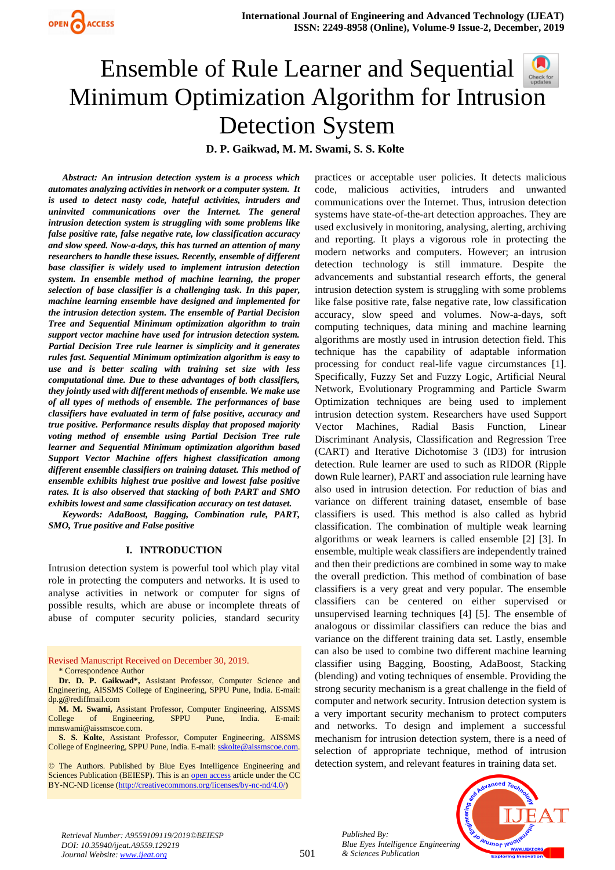

# Ensemble of Rule Learner and Sequential Minimum Optimization Algorithm for Intrusi[on](https://crossmark.crossref.org/dialog/?doi=10.35940/ijeat.A9559.129219&domain=www.ijeat.org)  Detection System

**D. P. Gaikwad, M. M. Swami, S. S. Kolte**

*Abstract: An intrusion detection system is a process which automates analyzing activities in network or a computer system. It is used to detect nasty code, hateful activities, intruders and uninvited communications over the Internet. The general intrusion detection system is struggling with some problems like false positive rate, false negative rate, low classification accuracy and slow speed. Now-a-days, this has turned an attention of many researchers to handle these issues. Recently, ensemble of different base classifier is widely used to implement intrusion detection system. In ensemble method of machine learning, the proper selection of base classifier is a challenging task. In this paper, machine learning ensemble have designed and implemented for the intrusion detection system. The ensemble of Partial Decision Tree and Sequential Minimum optimization algorithm to train support vector machine have used for intrusion detection system. Partial Decision Tree rule learner is simplicity and it generates rules fast. Sequential Minimum optimization algorithm is easy to use and is better scaling with training set size with less computational time. Due to these advantages of both classifiers, they jointly used with different methods of ensemble. We make use of all types of methods of ensemble. The performances of base classifiers have evaluated in term of false positive, accuracy and true positive. Performance results display that proposed majority voting method of ensemble using Partial Decision Tree rule learner and Sequential Minimum optimization algorithm based Support Vector Machine offers highest classification among different ensemble classifiers on training dataset. This method of ensemble exhibits highest true positive and lowest false positive rates. It is also observed that stacking of both PART and SMO exhibits lowest and same classification accuracy on test dataset.*

*Keywords: AdaBoost, Bagging, Combination rule, PART, SMO, True positive and False positive*

#### **I. INTRODUCTION**

Intrusion detection system is powerful tool which play vital role in protecting the computers and networks. It is used to analyse activities in network or computer for signs of possible results, which are abuse or incomplete threats of abuse of computer security policies, standard security

Revised Manuscript Received on December 30, 2019. \* Correspondence Author

**Dr. D. P. Gaikwad\*,** Assistant Professor, Computer Science and Engineering, AISSMS College of Engineering, SPPU Pune, India. E-mail: [dp.g@rediffmail.com](mailto:dp.g@rediffmail.com)

**M. M. Swami,** Assistant Professor, Computer Engineering, AISSMS College of Engineering, SPPU Pune, India. E-mail: [mmswami@aissmscoe.com.](mailto:mmswami@aissmscoe.com)

**S. S. Kolte**, Assistant Professor, Computer Engineering, AISSMS College of Engineering, SPPU Pune, India. E-mail[: sskolte@aissmscoe.com.](mailto:sskolte@aissmscoe.com)

© The Authors. Published by Blue Eyes Intelligence Engineering and Sciences Publication (BEIESP). This is a[n open access](https://www.openaccess.nl/en/open-publications) article under the CC BY-NC-ND license [\(http://creativecommons.org/licenses/by-nc-nd/4.0/\)](http://creativecommons.org/licenses/by-nc-nd/4.0/)

practices or acceptable user policies. It detects malicious code, malicious activities, intruders and unwanted communications over the Internet. Thus, intrusion detection systems have state-of-the-art detection approaches. They are used exclusively in monitoring, analysing, alerting, archiving and reporting. It plays a vigorous role in protecting the modern networks and computers. However; an intrusion detection technology is still immature. Despite the advancements and substantial research efforts, the general intrusion detection system is struggling with some problems like false positive rate, false negative rate, low classification accuracy, slow speed and volumes. Now-a-days, soft computing techniques, data mining and machine learning algorithms are mostly used in intrusion detection field. This technique has the capability of adaptable information processing for conduct real-life vague circumstances [1]. Specifically, Fuzzy Set and Fuzzy Logic, Artificial Neural Network, Evolutionary Programming and Particle Swarm Optimization techniques are being used to implement intrusion detection system. Researchers have used Support Vector Machines, Radial Basis Function, Linear Discriminant Analysis, Classification and Regression Tree (CART) and Iterative Dichotomise 3 (ID3) for intrusion detection. Rule learner are used to such as RIDOR (Ripple down Rule learner), PART and association rule learning have also used in intrusion detection. For reduction of bias and variance on different training dataset, ensemble of base classifiers is used. This method is also called as hybrid classification. The combination of multiple weak learning algorithms or weak learners is called ensemble [2] [3]. In ensemble, multiple weak classifiers are independently trained and then their predictions are combined in some way to make the overall prediction. This method of combination of base classifiers is a very great and very popular. The ensemble classifiers can be centered on either supervised or unsupervised learning techniques [4] [5]. The ensemble of analogous or dissimilar classifiers can reduce the bias and variance on the different training data set. Lastly, ensemble can also be used to combine two different machine learning classifier using Bagging, Boosting, AdaBoost, Stacking (blending) and voting techniques of ensemble. Providing the strong security mechanism is a great challenge in the field of computer and network security. Intrusion detection system is a very important security mechanism to protect computers and networks. To design and implement a successful mechanism for intrusion detection system, there is a need of selection of appropriate technique, method of intrusion detection system, and relevant features in training data set.





*Retrieval Number: A9559109119/2019©BEIESP DOI: 10.35940/ijeat.A9559.129219 Journal Website[: www.ijeat.org](http://www.ijeat.org/)*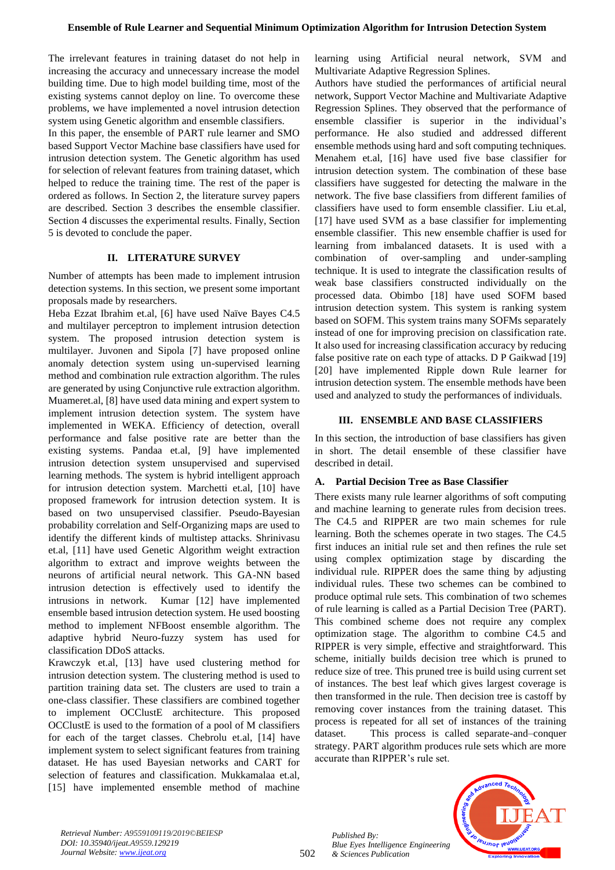The irrelevant features in training dataset do not help in increasing the accuracy and unnecessary increase the model building time. Due to high model building time, most of the existing systems cannot deploy on line. To overcome these problems, we have implemented a novel intrusion detection system using Genetic algorithm and ensemble classifiers.

In this paper, the ensemble of PART rule learner and SMO based Support Vector Machine base classifiers have used for intrusion detection system. The Genetic algorithm has used for selection of relevant features from training dataset, which helped to reduce the training time. The rest of the paper is ordered as follows. In Section 2, the literature survey papers are described. Section 3 describes the ensemble classifier. Section 4 discusses the experimental results. Finally, Section 5 is devoted to conclude the paper.

## **II. LITERATURE SURVEY**

Number of attempts has been made to implement intrusion detection systems. In this section, we present some important proposals made by researchers.

Heba Ezzat Ibrahim et.al, [6] have used Naïve Bayes C4.5 and multilayer perceptron to implement intrusion detection system. The proposed intrusion detection system is multilayer. Juvonen and Sipola [7] have proposed online anomaly detection system using un-supervised learning method and combination rule extraction algorithm. The rules are generated by using Conjunctive rule extraction algorithm. Muameret.al, [8] have used data mining and expert system to implement intrusion detection system. The system have implemented in WEKA. Efficiency of detection, overall performance and false positive rate are better than the existing systems. Pandaa et.al, [9] have implemented intrusion detection system unsupervised and supervised learning methods. The system is hybrid intelligent approach for intrusion detection system. Marchetti et.al, [10] have proposed framework for intrusion detection system. It is based on two unsupervised classifier. Pseudo-Bayesian probability correlation and Self-Organizing maps are used to identify the different kinds of multistep attacks. Shrinivasu et.al, [11] have used Genetic Algorithm weight extraction algorithm to extract and improve weights between the neurons of artificial neural network. This GA-NN based intrusion detection is effectively used to identify the intrusions in network. Kumar [12] have implemented ensemble based intrusion detection system. He used boosting method to implement NFBoost ensemble algorithm. The adaptive hybrid Neuro-fuzzy system has used for classification DDoS attacks.

Krawczyk et.al, [13] have used clustering method for intrusion detection system. The clustering method is used to partition training data set. The clusters are used to train a one-class classifier. These classifiers are combined together to implement OCClustE architecture. This proposed OCClustE is used to the formation of a pool of M classifiers for each of the target classes. Chebrolu et.al, [14] have implement system to select significant features from training dataset. He has used Bayesian networks and CART for selection of features and classification. Mukkamalaa et.al, [15] have implemented ensemble method of machine learning using Artificial neural network, SVM and Multivariate Adaptive Regression Splines.

Authors have studied the performances of artificial neural network, Support Vector Machine and Multivariate Adaptive Regression Splines. They observed that the performance of ensemble classifier is superior in the individual's performance. He also studied and addressed different ensemble methods using hard and soft computing techniques. Menahem et.al, [16] have used five base classifier for intrusion detection system. The combination of these base classifiers have suggested for detecting the malware in the network. The five base classifiers from different families of classifiers have used to form ensemble classifier. Liu et.al, [17] have used SVM as a base classifier for implementing ensemble classifier. This new ensemble chaffier is used for learning from imbalanced datasets. It is used with a combination of over-sampling and under-sampling technique. It is used to integrate the classification results of weak base classifiers constructed individually on the processed data. Obimbo [18] have used SOFM based intrusion detection system. This system is ranking system based on SOFM. This system trains many SOFMs separately instead of one for improving precision on classification rate. It also used for increasing classification accuracy by reducing false positive rate on each type of attacks. D P Gaikwad [19] [20] have implemented Ripple down Rule learner for intrusion detection system. The ensemble methods have been used and analyzed to study the performances of individuals.

## **III. ENSEMBLE AND BASE CLASSIFIERS**

In this section, the introduction of base classifiers has given in short. The detail ensemble of these classifier have described in detail.

## **A. Partial Decision Tree as Base Classifier**

There exists many rule learner algorithms of soft computing and machine learning to generate rules from decision trees. The C4.5 and RIPPER are two main schemes for rule learning. Both the schemes operate in two stages. The C4.5 first induces an initial rule set and then refines the rule set using complex optimization stage by discarding the individual rule. RIPPER does the same thing by adjusting individual rules. These two schemes can be combined to produce optimal rule sets. This combination of two schemes of rule learning is called as a Partial Decision Tree (PART). This combined scheme does not require any complex optimization stage. The algorithm to combine C4.5 and RIPPER is very simple, effective and straightforward. This scheme, initially builds decision tree which is pruned to reduce size of tree. This pruned tree is build using current set of instances. The best leaf which gives largest coverage is then transformed in the rule. Then decision tree is castoff by removing cover instances from the training dataset. This process is repeated for all set of instances of the training dataset. This process is called separate-and–conquer strategy. PART algorithm produces rule sets which are more accurate than RIPPER's rule set.

*Retrieval Number: A9559109119/2019©BEIESP DOI: 10.35940/ijeat.A9559.129219 Journal Website[: www.ijeat.org](http://www.ijeat.org/)*

502

*Published By: Blue Eyes Intelligence Engineering & Sciences Publication* 

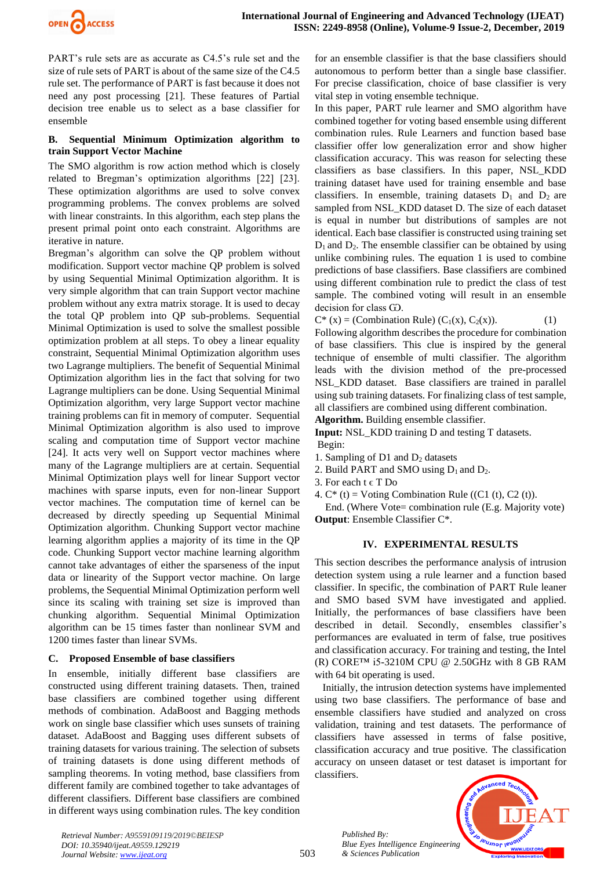

PART's rule sets are as accurate as C4.5's rule set and the size of rule sets of PART is about of the same size of the C4.5 rule set. The performance of PART is fast because it does not need any post processing [21]. These features of Partial decision tree enable us to select as a base classifier for ensemble

### **B. Sequential Minimum Optimization algorithm to train Support Vector Machine**

The SMO algorithm is row action method which is closely related to Bregman's optimization algorithms [22] [23]. These optimization algorithms are used to solve convex programming problems. The convex problems are solved with linear constraints. In this algorithm, each step plans the present primal point onto each constraint. Algorithms are iterative in nature.

Bregman's algorithm can solve the QP problem without modification. Support vector machine QP problem is solved by using Sequential Minimal Optimization algorithm. It is very simple algorithm that can train Support vector machine problem without any extra matrix storage. It is used to decay the total QP problem into QP sub-problems. Sequential Minimal Optimization is used to solve the smallest possible optimization problem at all steps. To obey a linear equality constraint, Sequential Minimal Optimization algorithm uses two Lagrange multipliers. The benefit of Sequential Minimal Optimization algorithm lies in the fact that solving for two Lagrange multipliers can be done. Using Sequential Minimal Optimization algorithm, very large Support vector machine training problems can fit in memory of computer. Sequential Minimal Optimization algorithm is also used to improve scaling and computation time of Support vector machine [24]. It acts very well on Support vector machines where many of the Lagrange multipliers are at certain. Sequential Minimal Optimization plays well for linear Support vector machines with sparse inputs, even for non-linear Support vector machines. The computation time of kernel can be decreased by directly speeding up Sequential Minimal Optimization algorithm. Chunking Support vector machine learning algorithm applies a majority of its time in the QP code. Chunking Support vector machine learning algorithm cannot take advantages of either the sparseness of the input data or linearity of the Support vector machine. On large problems, the Sequential Minimal Optimization perform well since its scaling with training set size is improved than chunking algorithm. Sequential Minimal Optimization algorithm can be 15 times faster than nonlinear SVM and 1200 times faster than linear SVMs.

### **C. Proposed Ensemble of base classifiers**

In ensemble, initially different base classifiers are constructed using different training datasets. Then, trained base classifiers are combined together using different methods of combination. AdaBoost and Bagging methods work on single base classifier which uses sunsets of training dataset. AdaBoost and Bagging uses different subsets of training datasets for various training. The selection of subsets of training datasets is done using different methods of sampling theorems. In voting method, base classifiers from different family are combined together to take advantages of different classifiers. Different base classifiers are combined in different ways using combination rules. The key condition for an ensemble classifier is that the base classifiers should autonomous to perform better than a single base classifier. For precise classification, choice of base classifier is very vital step in voting ensemble technique.

In this paper, PART rule learner and SMO algorithm have combined together for voting based ensemble using different combination rules. Rule Learners and function based base classifier offer low generalization error and show higher classification accuracy. This was reason for selecting these classifiers as base classifiers. In this paper, NSL\_KDD training dataset have used for training ensemble and base classifiers. In ensemble, training datasets  $D_1$  and  $D_2$  are sampled from NSL\_KDD dataset D. The size of each dataset is equal in number but distributions of samples are not identical. Each base classifier is constructed using training set  $D_1$  and  $D_2$ . The ensemble classifier can be obtained by using unlike combining rules. The equation 1 is used to combine predictions of base classifiers. Base classifiers are combined using different combination rule to predict the class of test sample. The combined voting will result in an ensemble decision for class GO.

 $C^*$  (x) = (Combination Rule) (C<sub>1</sub>(x), C<sub>2</sub>(x)). (1)

Following algorithm describes the procedure for combination of base classifiers. This clue is inspired by the general technique of ensemble of multi classifier. The algorithm leads with the division method of the pre-processed NSL\_KDD dataset. Base classifiers are trained in parallel using sub training datasets. For finalizing class of test sample, all classifiers are combined using different combination.

**Algorithm.** Building ensemble classifier.

**Input:** NSL\_KDD training D and testing T datasets. Begin:

- 1. Sampling of  $D1$  and  $D2$  datasets
- 2. Build PART and SMO using  $D_1$  and  $D_2$ .
- 3. For each  $t \in T$  Do
- 4.  $C^*$  (t) = Voting Combination Rule ((C1 (t), C2 (t)).

 End. (Where Vote= combination rule (E.g. Majority vote) **Output**: Ensemble Classifier C\*.

## **IV. EXPERIMENTAL RESULTS**

This section describes the performance analysis of intrusion detection system using a rule learner and a function based classifier. In specific, the combination of PART Rule leaner and SMO based SVM have investigated and applied. Initially, the performances of base classifiers have been described in detail. Secondly, ensembles classifier's performances are evaluated in term of false, true positives and classification accuracy. For training and testing, the Intel (R) CORE™ i5-3210M CPU @ 2.50GHz with 8 GB RAM with 64 bit operating is used.

 Initially, the intrusion detection systems have implemented using two base classifiers. The performance of base and ensemble classifiers have studied and analyzed on cross validation, training and test datasets. The performance of classifiers have assessed in terms of false positive, classification accuracy and true positive. The classification accuracy on unseen dataset or test dataset is important for classifiers.

> *Published By: Blue Eyes Intelligence Engineering & Sciences Publication*



*Retrieval Number: A9559109119/2019©BEIESP DOI: 10.35940/ijeat.A9559.129219 Journal Website[: www.ijeat.org](http://www.ijeat.org/)*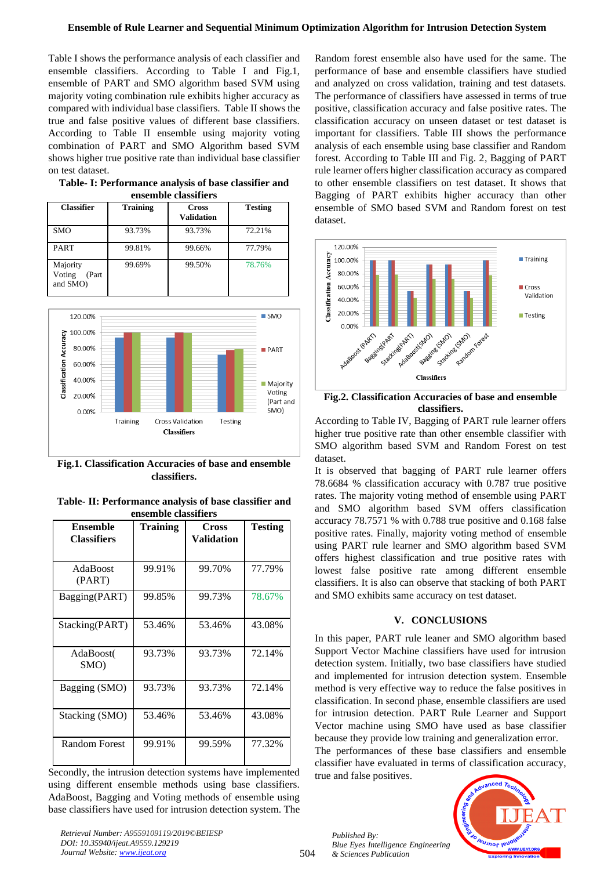Table I shows the performance analysis of each classifier and ensemble classifiers. According to Table I and Fig.1, ensemble of PART and SMO algorithm based SVM using majority voting combination rule exhibits higher accuracy as compared with individual base classifiers. Table II shows the true and false positive values of different base classifiers. According to Table II ensemble using majority voting combination of PART and SMO Algorithm based SVM shows higher true positive rate than individual base classifier on test dataset.

| Table-I: Performance analysis of base classifier and |                      |  |  |
|------------------------------------------------------|----------------------|--|--|
|                                                      | ensemble classifiers |  |  |

| <b>Classifier</b>                        | <b>Training</b> | <b>Cross</b><br><b>Validation</b> | <b>Testing</b> |
|------------------------------------------|-----------------|-----------------------------------|----------------|
| <b>SMO</b>                               | 93.73%          | 93.73%                            | 72.21%         |
| <b>PART</b>                              | 99.81%          | 99.66%                            | 77.79%         |
| Majority<br>Voting<br>(Part)<br>and SMO) | 99.69%          | 99.50%                            | 78.76%         |



**Fig.1. Classification Accuracies of base and ensemble classifiers.**

| Table-II: Performance analysis of base classifier and |  |  |  |  |  |
|-------------------------------------------------------|--|--|--|--|--|
| ensemble classifiers                                  |  |  |  |  |  |

| <b>Ensemble</b><br><b>Classifiers</b> | Training | Cross<br>Validation | <b>Testing</b> |
|---------------------------------------|----------|---------------------|----------------|
| AdaBoost<br>(PART)                    | 99.91%   | 99.70%              | 77.79%         |
| Bagging(PART)                         | 99.85%   | 99.73%              | 78.67%         |
| Stacking(PART)                        | 53.46%   | 53.46%              | 43.08%         |
| AdaBoost(<br>SMO)                     | 93.73%   | 93.73%              | 72.14%         |
| Bagging (SMO)                         | 93.73%   | 93.73%              | 72.14%         |
| Stacking (SMO)                        | 53.46%   | 53.46%              | 43.08%         |
| <b>Random Forest</b>                  | 99.91%   | 99.59%              | 77.32%         |

Secondly, the intrusion detection systems have implemented using different ensemble methods using base classifiers. AdaBoost, Bagging and Voting methods of ensemble using base classifiers have used for intrusion detection system. The

*Retrieval Number: A9559109119/2019©BEIESP DOI: 10.35940/ijeat.A9559.129219 Journal Website[: www.ijeat.org](http://www.ijeat.org/)*

Random forest ensemble also have used for the same. The performance of base and ensemble classifiers have studied and analyzed on cross validation, training and test datasets. The performance of classifiers have assessed in terms of true positive, classification accuracy and false positive rates. The classification accuracy on unseen dataset or test dataset is important for classifiers. Table III shows the performance analysis of each ensemble using base classifier and Random forest. According to Table III and Fig. 2, Bagging of PART rule learner offers higher classification accuracy as compared to other ensemble classifiers on test dataset. It shows that Bagging of PART exhibits higher accuracy than other ensemble of SMO based SVM and Random forest on test dataset.



**Fig.2. Classification Accuracies of base and ensemble classifiers.**

According to Table IV, Bagging of PART rule learner offers higher true positive rate than other ensemble classifier with SMO algorithm based SVM and Random Forest on test dataset.

It is observed that bagging of PART rule learner offers 78.6684 % classification accuracy with 0.787 true positive rates. The majority voting method of ensemble using PART and SMO algorithm based SVM offers classification accuracy 78.7571 % with 0.788 true positive and 0.168 false positive rates. Finally, majority voting method of ensemble using PART rule learner and SMO algorithm based SVM offers highest classification and true positive rates with lowest false positive rate among different ensemble classifiers. It is also can observe that stacking of both PART and SMO exhibits same accuracy on test dataset.

## **V. CONCLUSIONS**

In this paper, PART rule leaner and SMO algorithm based Support Vector Machine classifiers have used for intrusion detection system. Initially, two base classifiers have studied and implemented for intrusion detection system. Ensemble method is very effective way to reduce the false positives in classification. In second phase, ensemble classifiers are used for intrusion detection. PART Rule Learner and Support Vector machine using SMO have used as base classifier because they provide low training and generalization error. The performances of these base classifiers and ensemble

classifier have evaluated in terms of classification accuracy, true and false positives.

*Published By: Blue Eyes Intelligence Engineering & Sciences Publication* 

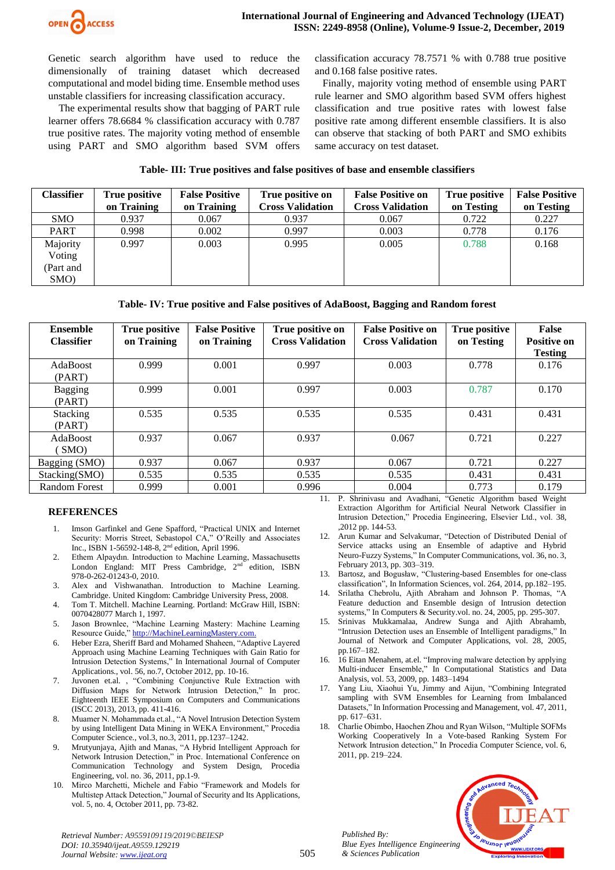

Genetic search algorithm have used to reduce the dimensionally of training dataset which decreased computational and model biding time. Ensemble method uses unstable classifiers for increasing classification accuracy.

 The experimental results show that bagging of PART rule learner offers 78.6684 % classification accuracy with 0.787 true positive rates. The majority voting method of ensemble using PART and SMO algorithm based SVM offers classification accuracy 78.7571 % with 0.788 true positive and 0.168 false positive rates.

 Finally, majority voting method of ensemble using PART rule learner and SMO algorithm based SVM offers highest classification and true positive rates with lowest false positive rate among different ensemble classifiers. It is also can observe that stacking of both PART and SMO exhibits same accuracy on test dataset.

|  |  |  |  |  |  |  |  |  |  |  | Table-III: True positives and false positives of base and ensemble classifiers |
|--|--|--|--|--|--|--|--|--|--|--|--------------------------------------------------------------------------------|
|--|--|--|--|--|--|--|--|--|--|--|--------------------------------------------------------------------------------|

| <b>Classifier</b> | True positive | <b>False Positive</b> | True positive on        | <b>False Positive on</b> | True positive | <b>False Positive</b> |
|-------------------|---------------|-----------------------|-------------------------|--------------------------|---------------|-----------------------|
|                   | on Training   | on Training           | <b>Cross Validation</b> | <b>Cross Validation</b>  | on Testing    | on Testing            |
| <b>SMO</b>        | 0.937         | 0.067                 | 0.937                   | 0.067                    | 0.722         | 0.227                 |
| <b>PART</b>       | 0.998         | 0.002                 | 0.997                   | 0.003                    | 0.778         | 0.176                 |
| Majority          | 0.997         | 0.003                 | 0.995                   | 0.005                    | 0.788         | 0.168                 |
| Voting            |               |                       |                         |                          |               |                       |
| (Part and         |               |                       |                         |                          |               |                       |
| SMO)              |               |                       |                         |                          |               |                       |

**Table- IV: True positive and False positives of AdaBoost, Bagging and Random forest**

| <b>Ensemble</b><br><b>Classifier</b> | <b>True positive</b><br>on Training | <b>False Positive</b><br>on Training | True positive on<br><b>Cross Validation</b> | <b>False Positive on</b><br><b>Cross Validation</b> | <b>True positive</b><br>on Testing | <b>False</b><br><b>Positive on</b> |
|--------------------------------------|-------------------------------------|--------------------------------------|---------------------------------------------|-----------------------------------------------------|------------------------------------|------------------------------------|
|                                      |                                     |                                      |                                             |                                                     |                                    | <b>Testing</b>                     |
| <b>AdaBoost</b>                      | 0.999                               | 0.001                                | 0.997                                       | 0.003                                               | 0.778                              | 0.176                              |
| (PART)                               |                                     |                                      |                                             |                                                     |                                    |                                    |
| <b>Bagging</b><br>(PART)             | 0.999                               | 0.001                                | 0.997                                       | 0.003                                               | 0.787                              | 0.170                              |
|                                      |                                     |                                      |                                             |                                                     |                                    |                                    |
| <b>Stacking</b>                      | 0.535                               | 0.535                                | 0.535                                       | 0.535                                               | 0.431                              | 0.431                              |
| (PART)                               |                                     |                                      |                                             |                                                     |                                    |                                    |
| <b>AdaBoost</b>                      | 0.937                               | 0.067                                | 0.937                                       | 0.067                                               | 0.721                              | 0.227                              |
| SMO                                  |                                     |                                      |                                             |                                                     |                                    |                                    |
| Bagging (SMO)                        | 0.937                               | 0.067                                | 0.937                                       | 0.067                                               | 0.721                              | 0.227                              |
| Stacking(SMO)                        | 0.535                               | 0.535                                | 0.535                                       | 0.535                                               | 0.431                              | 0.431                              |
| <b>Random Forest</b>                 | 0.999                               | 0.001                                | 0.996                                       | 0.004                                               | 0.773                              | 0.179                              |

### **REFERENCES**

- 1. Imson Garfinkel and Gene Spafford, "Practical UNIX and Internet Security: Morris Street, Sebastopol CA," O'Reilly and Associates Inc., ISBN 1-56592-148-8, 2nd edition, April 1996.
- 2. Ethem Alpaydın. Introduction to Machine Learning, Massachusetts London England: MIT Press Cambridge,  $2<sup>nd</sup>$  edition, ISBN 978-0-262-01243-0, 2010.
- 3. Alex and Vishwanathan. Introduction to Machine Learning. Cambridge. United Kingdom: Cambridge University Press, 2008.
- 4. Tom T. Mitchell. Machine Learning. Portland: McGraw Hill, ISBN: 0070428077 March 1, 1997.
- 5. Jason Brownlee, "Machine Learning Mastery: Machine Learning Resource Guide," [http://MachineLearningMastery.com.](http://machinelearningmastery.com/)
- 6. Heber Ezra, Sheriff Bard and Mohamed Shaheen, "Adaptive Layered Approach using Machine Learning Techniques with Gain Ratio for Intrusion Detection Systems," In International Journal of Computer Applications., vol. 56, no.7, October 2012, pp. 10-16.
- 7. Juvonen et.al. , "Combining Conjunctive Rule Extraction with Diffusion Maps for Network Intrusion Detection," In proc. Eighteenth IEEE Symposium on Computers and Communications (ISCC 2013), 2013, pp. 411-416.
- 8. Muamer N. Mohammada et.al., "A Novel Intrusion Detection System by using Intelligent Data Mining in WEKA Environment," Procedia Computer Science., vol.3, no.3, 2011, pp.1237–1242.
- 9. Mrutyunjaya, Ajith and Manas, "A Hybrid Intelligent Approach for Network Intrusion Detection," in Proc. International Conference on Communication Technology and System Design, Procedia Engineering, vol. no. 36, 2011, pp.1-9.
- 10. Mirco Marchetti, Michele and Fabio "Framework and Models for Multistep Attack Detection," Journal of Security and Its Applications, vol. 5, no. 4, October 2011, pp. 73-82.
- 11. P. Shrinivasu and Avadhani, "Genetic Algorithm based Weight Extraction Algorithm for Artificial Neural Network Classifier in Intrusion Detection," Procedia Engineering, Elsevier Ltd., vol. 38, ,2012 pp. 144-53.
- 12. Arun Kumar and Selvakumar, "Detection of Distributed Denial of Service attacks using an Ensemble of adaptive and Hybrid Neuro-Fuzzy Systems," In Computer Communications, vol. 36, no. 3, February 2013, pp. 303–319.
- 13. Bartosz, and Bogusław, "Clustering-based Ensembles for one-class classification", In Information Sciences, vol. 264, 2014, pp.182–195.
- 14. Srilatha Chebrolu, Ajith Abraham and Johnson P. Thomas, "A Feature deduction and Ensemble design of Intrusion detection systems," In Computers & Security.vol. no. 24, 2005, pp. 295-307.
- 15. Srinivas Mukkamalaa, Andrew Sunga and Ajith Abrahamb, "Intrusion Detection uses an Ensemble of Intelligent paradigms," In Journal of Network and Computer Applications, vol. 28, 2005, pp.167–182.
- 16. 16 Eitan Menahem, at.el. "Improving malware detection by applying Multi-inducer Ensemble," In Computational Statistics and Data Analysis, vol. 53, 2009, pp. 1483–1494
- 17. Yang Liu, Xiaohui Yu, Jimmy and Aijun, "Combining Integrated sampling with SVM Ensembles for Learning from Imbalanced Datasets," In Information Processing and Management, vol. 47, 2011, pp. 617–631.
- 18. Charlie Obimbo, Haochen Zhou and Ryan Wilson, "Multiple SOFMs Working Cooperatively In a Vote-based Ranking System For Network Intrusion detection," In Procedia Computer Science, vol. 6, 2011, pp. 219–224.



*Published By: Blue Eyes Intelligence Engineering & Sciences Publication*